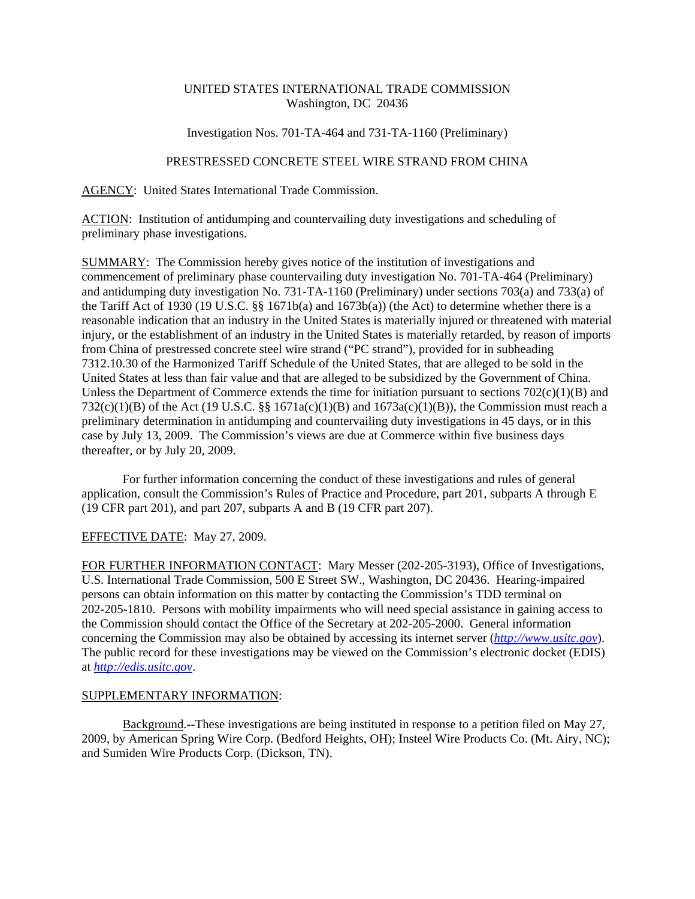## UNITED STATES INTERNATIONAL TRADE COMMISSION Washington, DC 20436

## Investigation Nos. 701-TA-464 and 731-TA-1160 (Preliminary)

## PRESTRESSED CONCRETE STEEL WIRE STRAND FROM CHINA

AGENCY: United States International Trade Commission.

ACTION: Institution of antidumping and countervailing duty investigations and scheduling of preliminary phase investigations.

SUMMARY: The Commission hereby gives notice of the institution of investigations and commencement of preliminary phase countervailing duty investigation No. 701-TA-464 (Preliminary) and antidumping duty investigation No. 731-TA-1160 (Preliminary) under sections 703(a) and 733(a) of the Tariff Act of 1930 (19 U.S.C. §§ 1671b(a) and 1673b(a)) (the Act) to determine whether there is a reasonable indication that an industry in the United States is materially injured or threatened with material injury, or the establishment of an industry in the United States is materially retarded, by reason of imports from China of prestressed concrete steel wire strand ("PC strand"), provided for in subheading 7312.10.30 of the Harmonized Tariff Schedule of the United States, that are alleged to be sold in the United States at less than fair value and that are alleged to be subsidized by the Government of China. Unless the Department of Commerce extends the time for initiation pursuant to sections  $702(c)(1)(B)$  and 732(c)(1)(B) of the Act (19 U.S.C. §§ 1671a(c)(1)(B) and 1673a(c)(1)(B)), the Commission must reach a preliminary determination in antidumping and countervailing duty investigations in 45 days, or in this case by July 13, 2009. The Commission's views are due at Commerce within five business days thereafter, or by July 20, 2009.

For further information concerning the conduct of these investigations and rules of general application, consult the Commission's Rules of Practice and Procedure, part 201, subparts A through E (19 CFR part 201), and part 207, subparts A and B (19 CFR part 207).

EFFECTIVE DATE: May 27, 2009.

FOR FURTHER INFORMATION CONTACT: Mary Messer (202-205-3193), Office of Investigations, U.S. International Trade Commission, 500 E Street SW., Washington, DC 20436. Hearing-impaired persons can obtain information on this matter by contacting the Commission's TDD terminal on 202-205-1810. Persons with mobility impairments who will need special assistance in gaining access to the Commission should contact the Office of the Secretary at 202-205-2000. General information concerning the Commission may also be obtained by accessing its internet server (*http://www.usitc.gov*). The public record for these investigations may be viewed on the Commission's electronic docket (EDIS) at *http://edis.usitc.gov*.

## SUPPLEMENTARY INFORMATION:

Background.--These investigations are being instituted in response to a petition filed on May 27, 2009, by American Spring Wire Corp. (Bedford Heights, OH); Insteel Wire Products Co. (Mt. Airy, NC); and Sumiden Wire Products Corp. (Dickson, TN).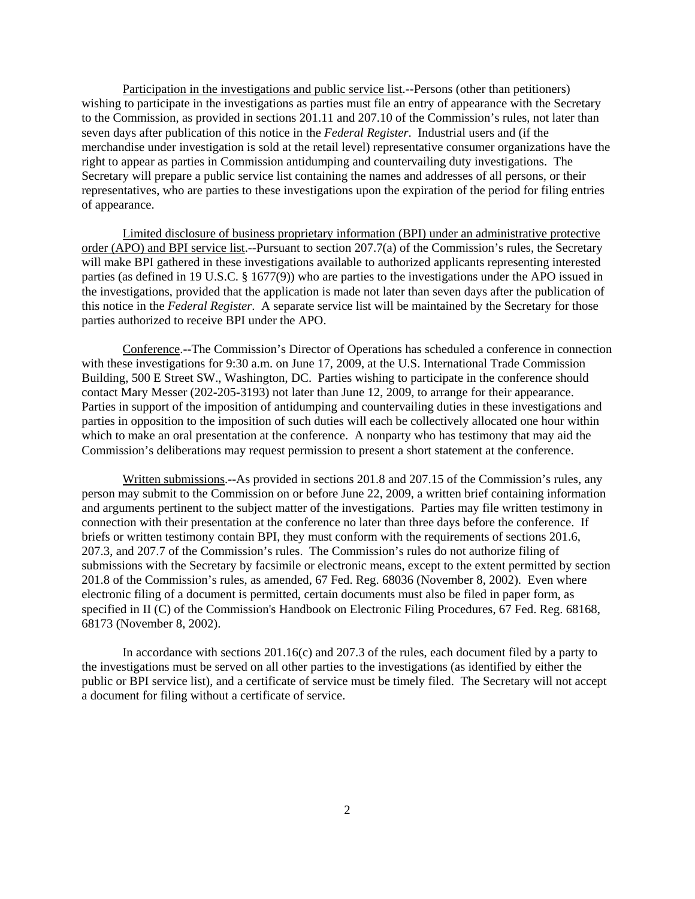Participation in the investigations and public service list.--Persons (other than petitioners) wishing to participate in the investigations as parties must file an entry of appearance with the Secretary to the Commission, as provided in sections 201.11 and 207.10 of the Commission's rules, not later than seven days after publication of this notice in the *Federal Register*. Industrial users and (if the merchandise under investigation is sold at the retail level) representative consumer organizations have the right to appear as parties in Commission antidumping and countervailing duty investigations. The Secretary will prepare a public service list containing the names and addresses of all persons, or their representatives, who are parties to these investigations upon the expiration of the period for filing entries of appearance.

Limited disclosure of business proprietary information (BPI) under an administrative protective order (APO) and BPI service list.--Pursuant to section 207.7(a) of the Commission's rules, the Secretary will make BPI gathered in these investigations available to authorized applicants representing interested parties (as defined in 19 U.S.C. § 1677(9)) who are parties to the investigations under the APO issued in the investigations, provided that the application is made not later than seven days after the publication of this notice in the *Federal Register*. A separate service list will be maintained by the Secretary for those parties authorized to receive BPI under the APO.

Conference.--The Commission's Director of Operations has scheduled a conference in connection with these investigations for 9:30 a.m. on June 17, 2009, at the U.S. International Trade Commission Building, 500 E Street SW., Washington, DC. Parties wishing to participate in the conference should contact Mary Messer (202-205-3193) not later than June 12, 2009, to arrange for their appearance. Parties in support of the imposition of antidumping and countervailing duties in these investigations and parties in opposition to the imposition of such duties will each be collectively allocated one hour within which to make an oral presentation at the conference. A nonparty who has testimony that may aid the Commission's deliberations may request permission to present a short statement at the conference.

Written submissions.--As provided in sections 201.8 and 207.15 of the Commission's rules, any person may submit to the Commission on or before June 22, 2009, a written brief containing information and arguments pertinent to the subject matter of the investigations. Parties may file written testimony in connection with their presentation at the conference no later than three days before the conference. If briefs or written testimony contain BPI, they must conform with the requirements of sections 201.6, 207.3, and 207.7 of the Commission's rules. The Commission's rules do not authorize filing of submissions with the Secretary by facsimile or electronic means, except to the extent permitted by section 201.8 of the Commission's rules, as amended, 67 Fed. Reg. 68036 (November 8, 2002). Even where electronic filing of a document is permitted, certain documents must also be filed in paper form, as specified in II (C) of the Commission's Handbook on Electronic Filing Procedures, 67 Fed. Reg. 68168, 68173 (November 8, 2002).

In accordance with sections 201.16(c) and 207.3 of the rules, each document filed by a party to the investigations must be served on all other parties to the investigations (as identified by either the public or BPI service list), and a certificate of service must be timely filed. The Secretary will not accept a document for filing without a certificate of service.